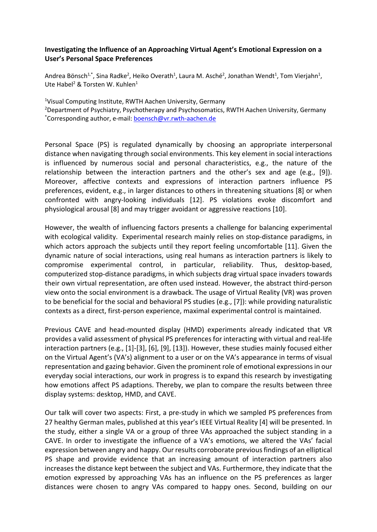## **Investigating the Influence of an Approaching Virtual Agent's Emotional Expression on a User's Personal Space Preferences**

Andrea Bönsch<sup>1,\*</sup>, Sina Radke<sup>2</sup>, Heiko Overath<sup>1</sup>, Laura M. Asché<sup>2</sup>, Jonathan Wendt<sup>1</sup>, Tom Vierjahn<sup>1</sup>, Ute Habel<sup>2</sup> & Torsten W. Kuhlen<sup>1</sup>

<sup>1</sup>Visual Computing Institute, RWTH Aachen University, Germany

2 Department of Psychiatry, Psychotherapy and Psychosomatics, RWTH Aachen University, Germany \* Corresponding author, e-mail: [boensch@vr.rwth-aachen.de](mailto:boensch@vr.rwth-aachen.de)

Personal Space (PS) is regulated dynamically by choosing an appropriate interpersonal distance when navigating through social environments. This key element in social interactions is influenced by numerous social and personal characteristics, e.g., the nature of the relationship between the interaction partners and the other's sex and age (e.g., [9]). Moreover, affective contexts and expressions of interaction partners influence PS preferences, evident, e.g., in larger distances to others in threatening situations [8] or when confronted with angry-looking individuals [12]. PS violations evoke discomfort and physiological arousal [8] and may trigger avoidant or aggressive reactions [10].

However, the wealth of influencing factors presents a challenge for balancing experimental with ecological validity. Experimental research mainly relies on stop-distance paradigms, in which actors approach the subjects until they report feeling uncomfortable [11]. Given the dynamic nature of social interactions, using real humans as interaction partners is likely to compromise experimental control, in particular, reliability. Thus, desktop-based, computerized stop-distance paradigms, in which subjects drag virtual space invaders towards their own virtual representation, are often used instead. However, the abstract third-person view onto the social environment is a drawback. The usage of Virtual Reality (VR) was proven to be beneficial for the social and behavioral PS studies (e.g., [7]): while providing naturalistic contexts as a direct, first-person experience, maximal experimental control is maintained.

Previous CAVE and head-mounted display (HMD) experiments already indicated that VR provides a valid assessment of physical PS preferences for interacting with virtual and real-life interaction partners (e.g., [1]-[3], [6], [9], [13]). However, these studies mainly focused either on the Virtual Agent's (VA's) alignment to a user or on the VA's appearance in terms of visual representation and gazing behavior. Given the prominent role of emotional expressions in our everyday social interactions, our work in progress is to expand this research by investigating how emotions affect PS adaptions. Thereby, we plan to compare the results between three display systems: desktop, HMD, and CAVE.

Our talk will cover two aspects: First, a pre-study in which we sampled PS preferences from 27 healthy German males, published at this year's IEEE Virtual Reality [4] will be presented. In the study, either a single VA or a group of three VAs approached the subject standing in a CAVE. In order to investigate the influence of a VA's emotions, we altered the VAs' facial expression between angry and happy. Our results corroborate previous findings of an elliptical PS shape and provide evidence that an increasing amount of interaction partners also increases the distance kept between the subject and VAs. Furthermore, they indicate that the emotion expressed by approaching VAs has an influence on the PS preferences as larger distances were chosen to angry VAs compared to happy ones. Second, building on our